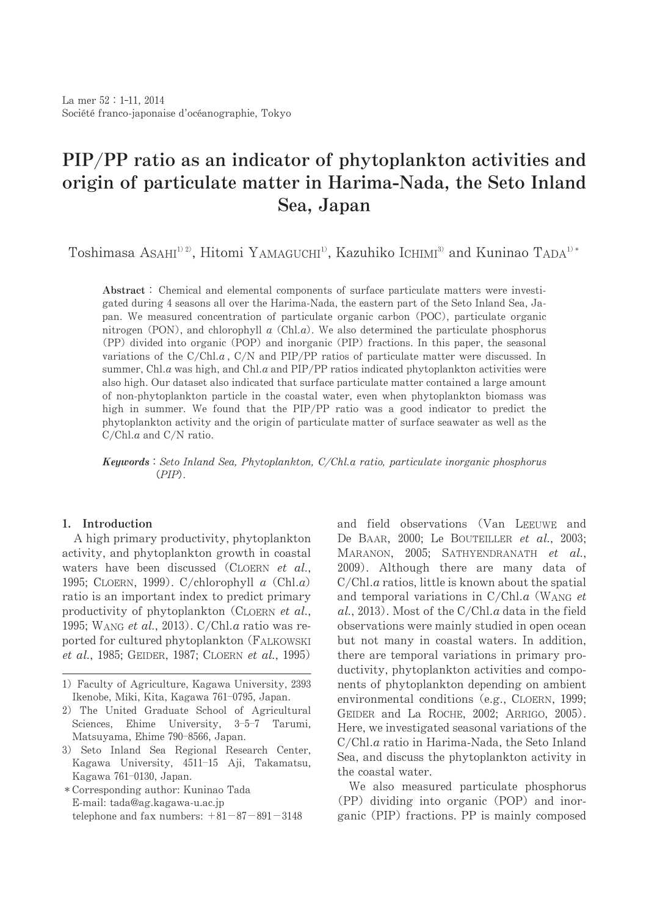# PIP/PP ratio as an indicator of phytoplankton activities and origin of particulate matter in Harima-Nada, the Seto Inland Sea, Japan

Toshimasa Asahi<sup>12</sup>, Hitomi Yamaguchi<sup>11</sup>, Kazuhiko Ichimi<sup>3</sup> and Kuninao Tapa<sup>13</sup>

Abstract: Chemical and elemental components of surface particulate matters were investigated during 4 seasons all over the Harima-Nada, the eastern part of the Seto Inland Sea, Japan. We measured concentration of particulate organic carbon (POC), particulate organic nitrogen (PON), and chlorophyll  $a$  (Chl.a). We also determined the particulate phosphorus (PP) divided into organic (POP) and inorganic (PIP) fractions. In this paper, the seasonal variations of the  $C/Chl.a$ ,  $C/N$  and PIP/PP ratios of particulate matter were discussed. In summer, Chl.a was high, and Chl.a and PIP/PP ratios indicated phytoplankton activities were also high. Our dataset also indicated that surface particulate matter contained a large amount of non-phytoplankton particle in the coastal water, even when phytoplankton biomass was high in summer. We found that the PIP/PP ratio was a good indicator to predict the phytoplankton activity and the origin of particulate matter of surface seawater as well as the  $C/Chl.a$  and  $C/N$  ratio.

Keywords: Seto Inland Sea, Phytoplankton, C/Chl.a ratio, particulate inorganic phosphorus  $(PIP)$ 

## 1. Introduction

A high primary productivity, phytoplankton activity, and phytoplankton growth in coastal waters have been discussed (CLOERN et al., 1995; CLOERN, 1999). C/chlorophyll  $a$  (Chl. $a$ ) ratio is an important index to predict primary productivity of phytoplankton (CLOERN et al., 1995; WANG et al., 2013). C/Chl.a ratio was reported for cultured phytoplankton (FALKOWSKI et al., 1985; GEIDER, 1987; CLOERN et al., 1995)

- 2) The United Graduate School of Agricultural Sciences, Ehime University, 3-5-7 Tarumi, Matsuyama, Ehime 790-8566, Japan.
- 3) Seto Inland Sea Regional Research Center, Kagawa University, 4511-15 Aji, Takamatsu, Kagawa 761-0130, Japan.
- \* Corresponding author: Kuninao Tada E-mail: tada@ag.kagawa-u.ac.jp telephone and fax numbers:  $+81-87-891-3148$

and field observations (Van LEEUWE and De BAAR, 2000; Le BOUTEILLER et al., 2003; MARANON, 2005; SATHYENDRANATH et al., 2009). Although there are many data of  $C/Chl.a$  ratios, little is known about the spatial and temporal variations in  $C/Chl.a$  (WANG et  $al., 2013$ . Most of the C/Chl. $a$  data in the field observations were mainly studied in open ocean but not many in coastal waters. In addition, there are temporal variations in primary productivity, phytoplankton activities and components of phytoplankton depending on ambient environmental conditions (e.g., CLOERN, 1999; GEIDER and La ROCHE, 2002; ARRIGO, 2005). Here, we investigated seasonal variations of the  $C/Chl.a$  ratio in Harima-Nada, the Seto Inland Sea, and discuss the phytoplankton activity in the coastal water.

We also measured particulate phosphorus (PP) dividing into organic (POP) and inorganic (PIP) fractions. PP is mainly composed

<sup>1)</sup> Faculty of Agriculture, Kagawa University, 2393 Ikenobe, Miki, Kita, Kagawa 761-0795, Japan.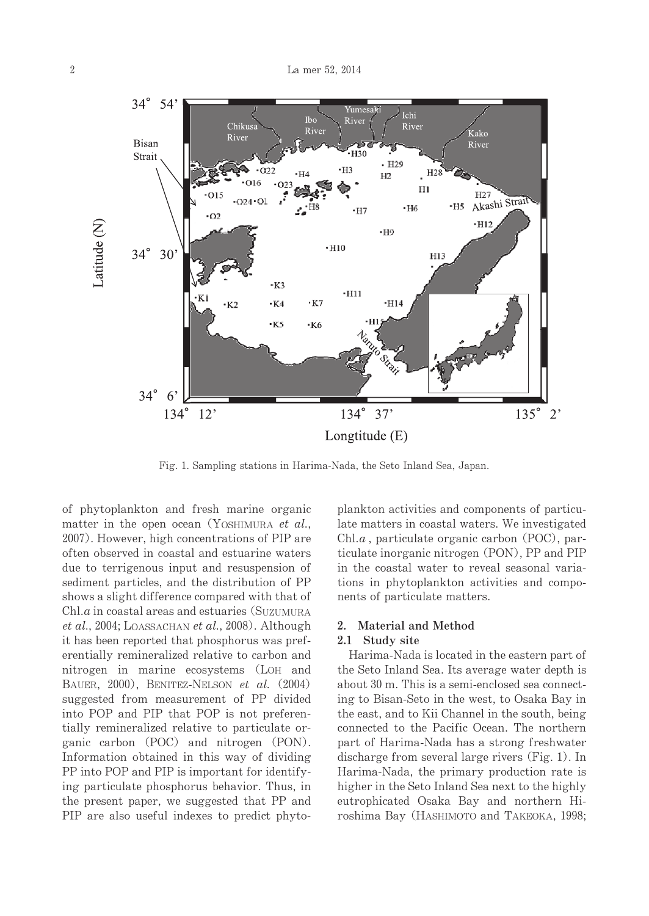

Fig. 1. Sampling stations in Harima-Nada, the Seto Inland Sea, Japan.

of phytoplankton and fresh marine organic matter in the open ocean (YOSHIMURA et al., 2007). However, high concentrations of PIP are often observed in coastal and estuarine waters due to terrigenous input and resuspension of sediment particles, and the distribution of PP shows a slight difference compared with that of  $Chl.a$  in coastal areas and estuaries (SUZUMURA *et al.*, 2004; LOASSACHAN *et al.*, 2008). Although it has been reported that phosphorus was preferentially remineralized relative to carbon and nitrogen in marine ecosystems (LOH and BAUER, 2000), BENITEZ-NELSON et al. (2004) suggested from measurement of PP divided into POP and PIP that POP is not preferentially remineralized relative to particulate organic carbon (POC) and nitrogen (PON). Information obtained in this way of dividing PP into POP and PIP is important for identifying particulate phosphorus behavior. Thus, in the present paper, we suggested that PP and PIP are also useful indexes to predict phytoplankton activities and components of particulate matters in coastal waters. We investigated  $Chl.a$ , particulate organic carbon  $(POC)$ , particulate inorganic nitrogen (PON), PP and PIP in the coastal water to reveal seasonal variations in phytoplankton activities and components of particulate matters.

## 2. Material and Method

#### 2.1 Study site

Harima-Nada is located in the eastern part of the Seto Inland Sea. Its average water depth is about 30 m. This is a semi-enclosed sea connecting to Bisan-Seto in the west, to Osaka Bay in the east, and to Kii Channel in the south, being connected to the Pacific Ocean. The northern part of Harima-Nada has a strong freshwater discharge from several large rivers (Fig. 1). In Harima-Nada, the primary production rate is higher in the Seto Inland Sea next to the highly eutrophicated Osaka Bay and northern Hiroshima Bay (HASHIMOTO and TAKEOKA, 1998;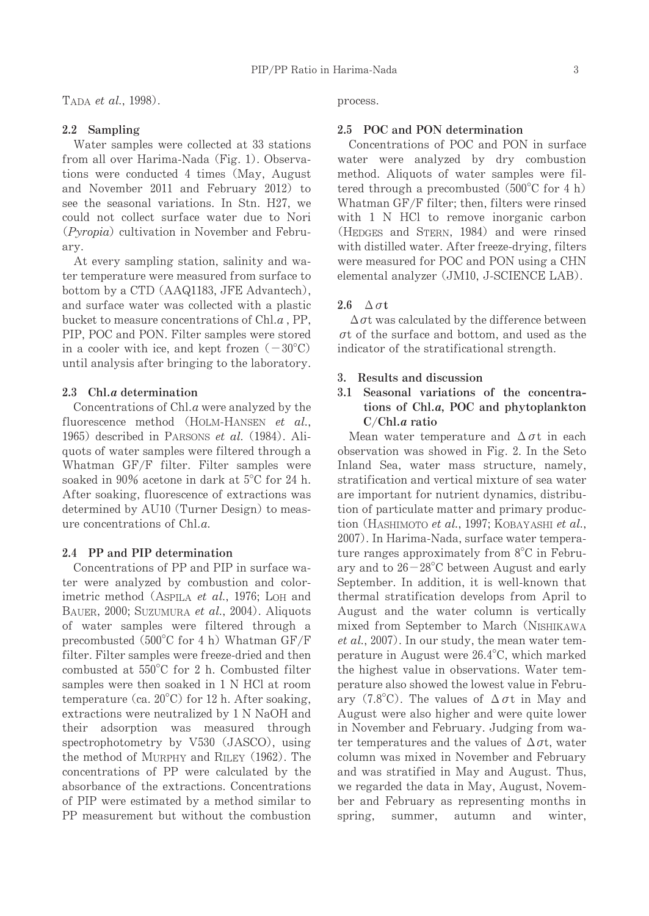TADA et al., 1998).

## 2.2 Sampling

Water samples were collected at 33 stations from all over Harima-Nada (Fig. 1). Observations were conducted 4 times (May, August and November  $2011$  and February  $2012$ ) to see the seasonal variations. In Stn. H27, we could not collect surface water due to Nori  $(Pvrovia)$  cultivation in November and February.

At every sampling station, salinity and water temperature were measured from surface to bottom by a CTD (AAQ1183, JFE Advantech), and surface water was collected with a plastic bucket to measure concentrations of  $Chl.a$ , PP, PIP, POC and PON. Filter samples were stored in a cooler with ice, and kept frozen  $(-30^{\circ}C)$ until analysis after bringing to the laboratory.

## 2.3 Chl. $a$  determination

Concentrations of  $Chl.a$  were analyzed by the fluorescence method  $(H_{OLM}-H_{ANSEN}$  et al. 1965) described in PARSONS et al.  $(1984)$ . Aliquots of water samples were filtered through a Whatman GF/F filter. Filter samples were soaked in 90% acetone in dark at 5°C for 24 h. After soaking, fluorescence of extractions was determined by AU10 (Turner Design) to measure concentrations of  $Chl.a$ .

## 2.4 PP and PIP determination

Concentrations of PP and PIP in surface water were analyzed by combustion and colorimetric method (ASPILA et al., 1976; LOH and BAUER, 2000; SUZUMURA et al., 2004). Aliquots of water samples were filtered through a precombusted  $(500^{\circ}$ C for 4 h) Whatman GF/F filter. Filter samples were freeze-dried and then combusted at  $550^{\circ}$ C for 2 h. Combusted filter samples were then soaked in 1 N HCl at room temperature (ca. 20°C) for 12 h. After soaking, extractions were neutralized by 1 N NaOH and their adsorption was measured through spectrophotometry by  $V530$  (JASCO), using the method of MURPHY and RILEY (1962). The concentrations of PP were calculated by the absorbance of the extractions. Concentrations of PIP were estimated by a method similar to PP measurement but without the combustion

process.

#### 2.5 POC and PON determination

Concentrations of POC and PON in surface water were analyzed by dry combustion method. Aliquots of water samples were filtered through a precombusted  $(500^{\circ}$ C for 4 h) Whatman GF/F filter; then, filters were rinsed with  $1$  N HCl to remove inorganic carbon (HEDGES and STERN, 1984) and were rinsed with distilled water. After freeze-drying, filters were measured for POC and PON using a CHN elemental analyzer (JM10, J-SCIENCE LAB).

## 2.6  $\Delta \sigma t$

 $\Delta \sigma t$  was calculated by the difference between  $\sigma t$  of the surface and bottom, and used as the indicator of the stratificational strength.

## 3. Results and discussion

3.1 Seasonal variations of the concentrations of Chl.a, POC and phytoplankton  $C/Chl.a$  ratio

Mean water temperature and  $\Delta \sigma t$  in each observation was showed in Fig. 2. In the Seto Inland Sea, water mass structure, namely, stratification and vertical mixture of sea water are important for nutrient dynamics, distribution of particulate matter and primary production (HASHIMOTO et al., 1997; KOBAYASHI et al., 2007). In Harima-Nada, surface water temperature ranges approximately from 8°C in February and to  $26-28^{\circ}$ C between August and early September. In addition, it is well-known that thermal stratification develops from April to August and the water column is vertically mixed from September to March (NISHIKAWA  $et al., 2007$ . In our study, the mean water temperature in August were 26.4°C, which marked the highest value in observations. Water temperature also showed the lowest value in February (7.8°C). The values of  $\Delta \sigma t$  in May and August were also higher and were quite lower in November and February. Judging from water temperatures and the values of  $\Delta \sigma t$ , water column was mixed in November and February and was stratified in May and August. Thus, we regarded the data in May, August, November and February as representing months in spring, summer, autumn and winter,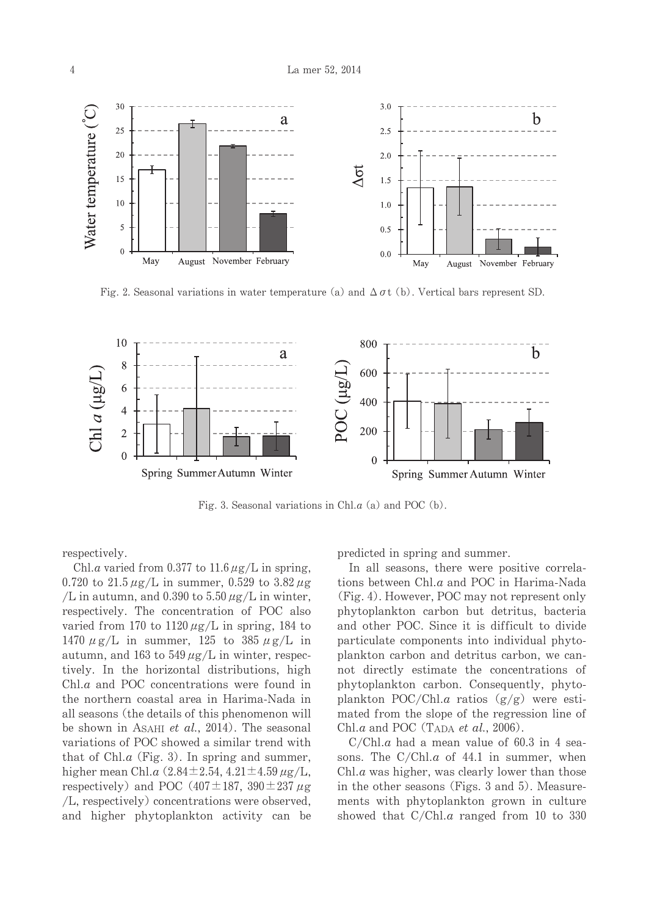

Fig. 2. Seasonal variations in water temperature (a) and  $\Delta \sigma t$  (b). Vertical bars represent SD.



Fig. 3. Seasonal variations in Chl. $a$  (a) and POC (b).

respectively.

Chl.a varied from 0.377 to 11.6  $\mu$ g/L in spring, 0.720 to 21.5  $\mu$ g/L in summer, 0.529 to 3.82  $\mu$ g /L in autumn, and 0.390 to 5.50  $\mu$ g/L in winter, respectively. The concentration of POC also varied from 170 to 1120  $\mu$ g/L in spring, 184 to 1470  $\mu$  g/L in summer, 125 to 385  $\mu$  g/L in autumn, and 163 to 549  $\mu$ g/L in winter, respectively. In the horizontal distributions, high  $Chl.a$  and POC concentrations were found in the northern coastal area in Harima-Nada in all seasons (the details of this phenomenon will be shown in ASAHI et al., 2014). The seasonal variations of POC showed a similar trend with that of Chl. $a$  (Fig. 3). In spring and summer, higher mean Chl.a  $(2.84 \pm 2.54, 4.21 \pm 4.59 \,\mu g/L,$ respectively) and POC (407 $\pm$ 187, 390 $\pm$ 237  $\mu$ g /L, respectively) concentrations were observed, and higher phytoplankton activity can be predicted in spring and summer.

In all seasons, there were positive correlations between Chl.a and POC in Harima-Nada (Fig. 4). However, POC may not represent only phytoplankton carbon but detritus, bacteria and other POC. Since it is difficult to divide particulate components into individual phytoplankton carbon and detritus carbon, we cannot directly estimate the concentrations of phytoplankton carbon. Consequently, phytoplankton POC/Chl.a ratios  $(g/g)$  were estimated from the slope of the regression line of Chl.a and POC (TADA et al., 2006).

 $C/Chl.a$  had a mean value of 60.3 in 4 seasons. The  $C/Chl.a$  of 44.1 in summer, when  $Chl.a$  was higher, was clearly lower than those in the other seasons (Figs. 3 and 5). Measurements with phytoplankton grown in culture showed that  $C/Chl.a$  ranged from 10 to 330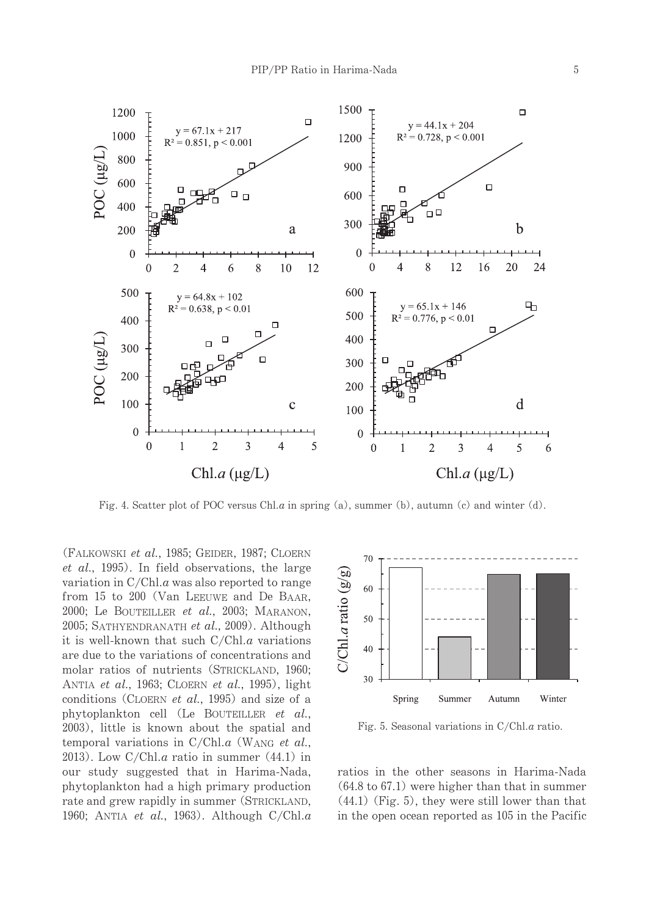

Fig. 4. Scatter plot of POC versus Chl.a in spring (a), summer (b), autumn (c) and winter (d).

(FALKOWSKI et al., 1985; GEIDER, 1987; CLOERN *et al.*, 1995). In field observations, the large variation in  $C/Chl.a$  was also reported to range from 15 to 200 (Van LEEUWE and De BAAR, 2000; Le BOUTEILLER et al., 2003; MARANON, 2005; SATHYENDRANATH et al., 2009). Although it is well-known that such  $C/Chl.a$  variations are due to the variations of concentrations and molar ratios of nutrients (STRICKLAND, 1960; ANTIA et al., 1963; CLOERN et al., 1995), light conditions (CLOERN *et al.*, 1995) and size of a phytoplankton cell (Le BOUTEILLER et al., 2003), little is known about the spatial and temporal variations in  $C/Chl.a$  (WANG et al., 2013). Low C/Chl.a ratio in summer  $(44.1)$  in our study suggested that in Harima-Nada, phytoplankton had a high primary production rate and grew rapidly in summer (STRICKLAND, 1960; ANTIA et al., 1963). Although  $C/Chl.a$ 



Fig. 5. Seasonal variations in  $C/Chl.a$  ratio.

ratios in the other seasons in Harima-Nada  $(64.8 \text{ to } 67.1)$  were higher than that in summer  $(44.1)$  (Fig. 5), they were still lower than that in the open ocean reported as 105 in the Pacific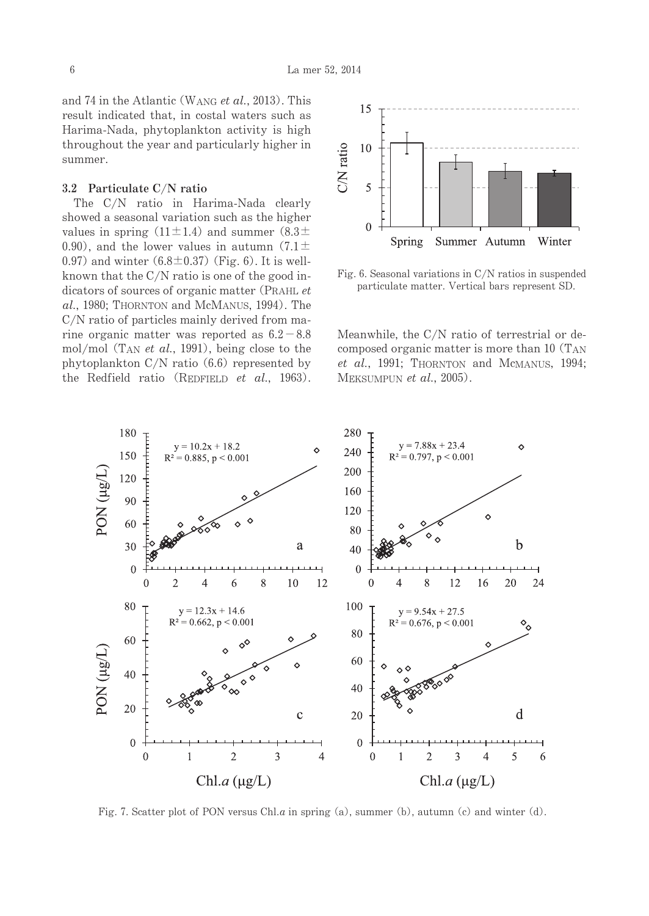and 74 in the Atlantic (WANG et al., 2013). This result indicated that, in costal waters such as Harima-Nada, phytoplankton activity is high throughout the year and particularly higher in summer.

## 3.2 Particulate C/N ratio

The C/N ratio in Harima-Nada clearly showed a seasonal variation such as the higher values in spring  $(11 \pm 1.4)$  and summer  $(8.3 \pm$ 0.90), and the lower values in autumn  $(7.1 \pm$ 0.97) and winter  $(6.8 \pm 0.37)$  (Fig. 6). It is wellknown that the  $C/N$  ratio is one of the good indicators of sources of organic matter (PRAHL et al., 1980; THORNTON and McMANUS, 1994). The C/N ratio of particles mainly derived from marine organic matter was reported as  $6.2 - 8.8$ mol/mol (TAN *et al.*, 1991), being close to the phytoplankton  $C/N$  ratio (6.6) represented by the Redfield ratio (REDFIELD  $et \ al., \ 1963$ ).



Fig. 6. Seasonal variations in  $C/N$  ratios in suspended particulate matter. Vertical bars represent SD.

Meanwhile, the C/N ratio of terrestrial or decomposed organic matter is more than 10 (TAN et al., 1991; THORNTON and McMANUS, 1994; MEKSUMPUN et al., 2005).



Fig. 7. Scatter plot of PON versus Chl.a in spring (a), summer (b), autumn (c) and winter (d).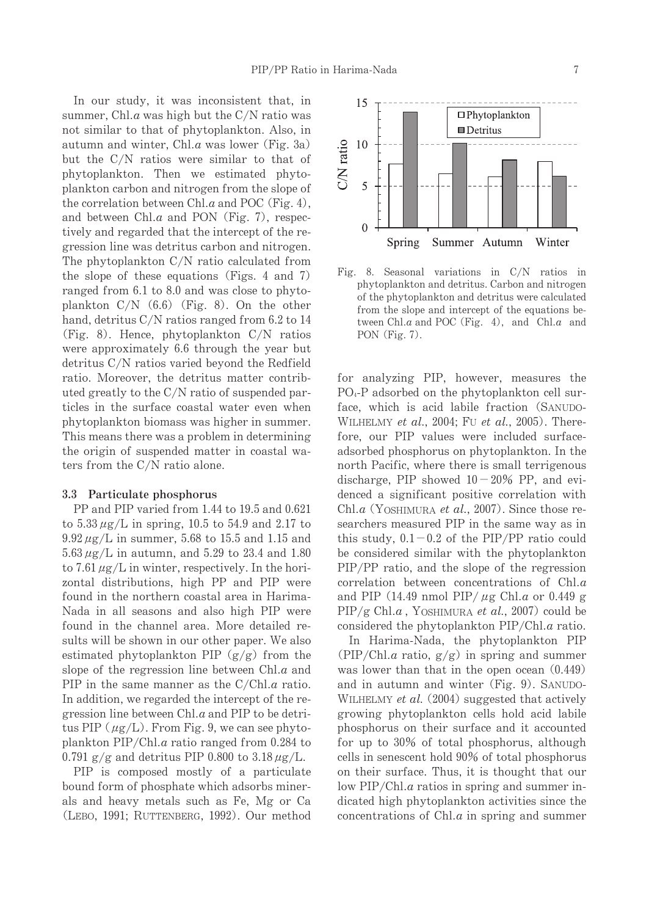In our study, it was inconsistent that, in summer, Chl.a was high but the  $C/N$  ratio was not similar to that of phytoplankton. Also, in autumn and winter, Chl.a was lower (Fig. 3a) but the  $C/N$  ratios were similar to that of phytoplankton. Then we estimated phytoplankton carbon and nitrogen from the slope of the correlation between Chl.a and POC (Fig. 4), and between Chl.a and PON (Fig. 7), respectively and regarded that the intercept of the regression line was detritus carbon and nitrogen. The phytoplankton  $C/N$  ratio calculated from the slope of these equations (Figs. 4 and 7) ranged from 6.1 to 8.0 and was close to phytoplankton  $C/N$  (6.6) (Fig. 8). On the other hand, detritus  $C/N$  ratios ranged from 6.2 to 14 (Fig. 8). Hence, phytoplankton  $C/N$  ratios were approximately 6.6 through the year but detritus C/N ratios varied beyond the Redfield ratio. Moreover, the detritus matter contributed greatly to the  $C/N$  ratio of suspended particles in the surface coastal water even when phytoplankton biomass was higher in summer. This means there was a problem in determining the origin of suspended matter in coastal waters from the  $C/N$  ratio alone.

#### 3.3 Particulate phosphorus

PP and PIP varied from 1.44 to 19.5 and 0.621 to  $5.33 \mu$ g/L in spring, 10.5 to 54.9 and 2.17 to  $9.92 \mu$ g/L in summer, 5.68 to 15.5 and 1.15 and  $5.63 \mu$ g/L in autumn, and  $5.29$  to 23.4 and 1.80 to  $7.61 \mu$ g/L in winter, respectively. In the horizontal distributions, high PP and PIP were found in the northern coastal area in Harima-Nada in all seasons and also high PIP were found in the channel area. More detailed results will be shown in our other paper. We also estimated phytoplankton PIP  $(g/g)$  from the slope of the regression line between  $Chl.a$  and PIP in the same manner as the  $C/Chl.a$  ratio. In addition, we regarded the intercept of the regression line between Chl. $a$  and PIP to be detritus PIP  $(\mu g/L)$ . From Fig. 9, we can see phytoplankton PIP/Chl.a ratio ranged from  $0.284$  to 0.791 g/g and detritus PIP 0.800 to  $3.18 \mu$ g/L.

PIP is composed mostly of a particulate bound form of phosphate which adsorbs minerals and heavy metals such as Fe, Mg or Ca (LEBO, 1991; RUTTENBERG, 1992). Our method



Fig. 8. Seasonal variations in C/N ratios in phytoplankton and detritus. Carbon and nitrogen of the phytoplankton and detritus were calculated from the slope and intercept of the equations between Chl.a and POC (Fig. 4), and Chl.a and PON (Fig. 7).

for analyzing PIP, however, measures the  $PO<sub>4</sub>-P$  adsorbed on the phytoplankton cell surface, which is acid labile fraction (SANUDO-WILHELMY et al., 2004; F<sub>U</sub> et al., 2005). Therefore, our PIP values were included surfaceadsorbed phosphorus on phytoplankton. In the north Pacific, where there is small terrigenous discharge, PIP showed  $10-20%$  PP, and evidenced a significant positive correlation with Chl.a (YOSHIMURA et al., 2007). Since those researchers measured PIP in the same way as in this study,  $0.1-0.2$  of the PIP/PP ratio could be considered similar with the phytoplankton PIP/PP ratio, and the slope of the regression correlation between concentrations of  $ChLa$ and PIP (14.49 nmol PIP/ $\mu$ g Chl.a or 0.449 g  $PIP/g Chl.a$ , YOSHIMURA et al., 2007) could be considered the phytoplankton  $PIP/Chl.a$  ratio.

In Harima-Nada, the phytoplankton PIP (PIP/Chl.a ratio,  $g/g$ ) in spring and summer was lower than that in the open ocean  $(0.449)$ and in autumn and winter (Fig. 9). SANUDO-WILHELMY *et al.* (2004) suggested that actively growing phytoplankton cells hold acid labile phosphorus on their surface and it accounted for up to  $30\%$  of total phosphorus, although cells in senescent hold 90% of total phosphorus on their surface. Thus, it is thought that our low  $PIP/Chl.a$  ratios in spring and summer indicated high phytoplankton activities since the concentrations of  $Chl.a$  in spring and summer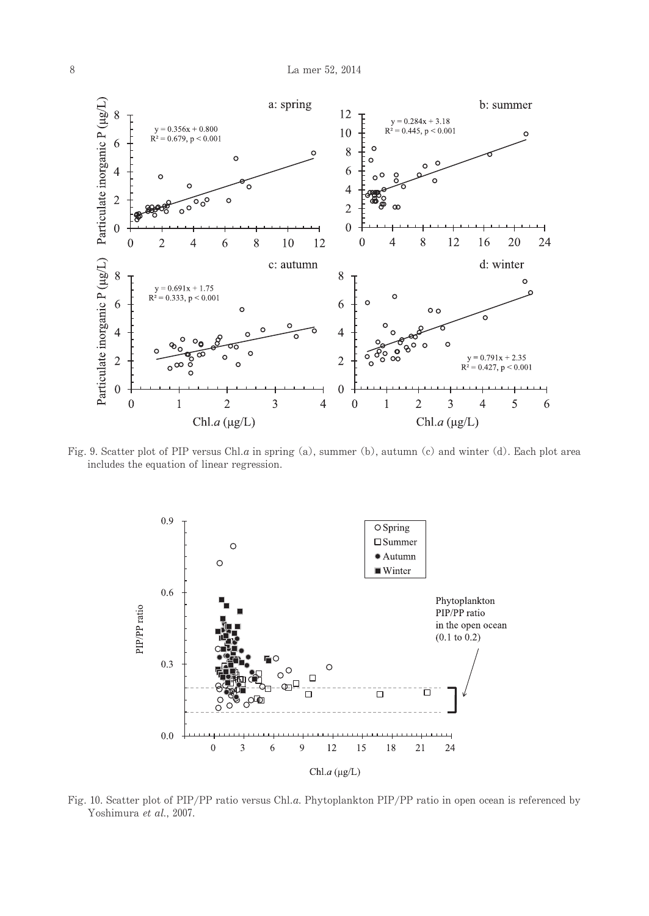

Fig. 9. Scatter plot of PIP versus Chl.a in spring (a), summer (b), autumn (c) and winter (d). Each plot area includes the equation of linear regression.



Fig. 10. Scatter plot of PIP/PP ratio versus Chl.a. Phytoplankton PIP/PP ratio in open ocean is referenced by Yoshimura et al., 2007.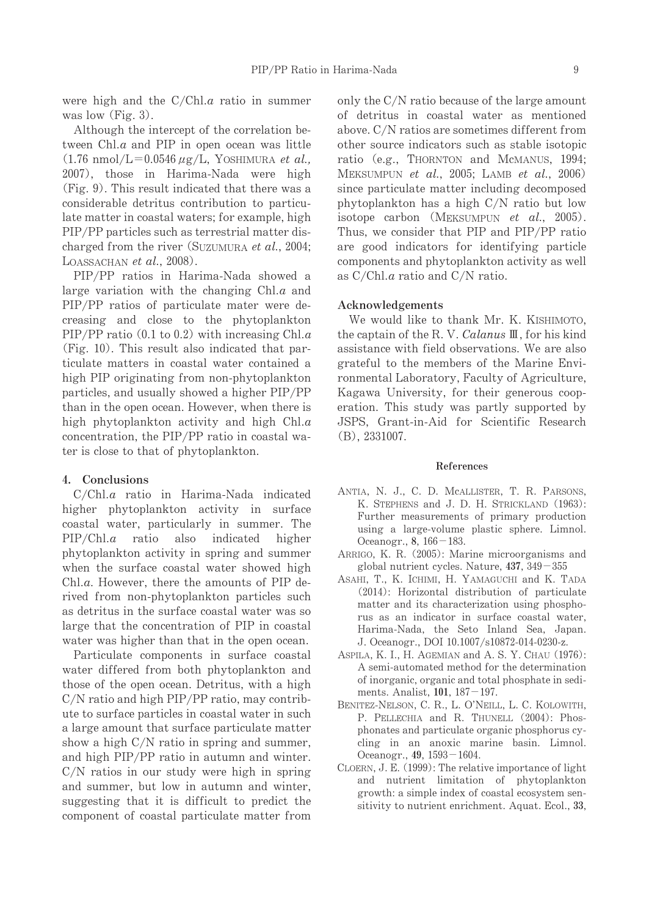were high and the  $C/Chl.a$  ratio in summer was low  $(Fig. 3)$ .

Although the intercept of the correlation between  $Ch.l.a$  and PIP in open ocean was little  $(1.76 \text{ nmol/L} = 0.0546 \mu g/L, \text{Yoshimura } et \text{ al.}$ 2007), those in Harima-Nada were high (Fig. 9). This result indicated that there was a considerable detritus contribution to particulate matter in coastal waters; for example, high PIP/PP particles such as terrestrial matter discharged from the river (SUZUMURA et al., 2004; LOASSACHAN et al., 2008).

PIP/PP ratios in Harima-Nada showed a large variation with the changing  $Chl.a$  and PIP/PP ratios of particulate mater were decreasing and close to the phytoplankton PIP/PP ratio  $(0.1 \text{ to } 0.2)$  with increasing Chl.a (Fig. 10). This result also indicated that particulate matters in coastal water contained a high PIP originating from non-phytoplankton particles, and usually showed a higher PIP/PP than in the open ocean. However, when there is high phytoplankton activity and high  $Chl.a$ concentration, the PIP/PP ratio in coastal water is close to that of phytoplankton.

## 4. Conclusions

 $C/Chl.a$  ratio in Harima-Nada indicated higher phytoplankton activity in surface coastal water, particularly in summer. The  $PIP/Chl.a$  ratio also indicated higher phytoplankton activity in spring and summer when the surface coastal water showed high Chl.a. However, there the amounts of PIP derived from non-phytoplankton particles such as detritus in the surface coastal water was so large that the concentration of PIP in coastal water was higher than that in the open ocean.

Particulate components in surface coastal water differed from both phytoplankton and those of the open ocean. Detritus, with a high  $C/N$  ratio and high PIP/PP ratio, may contribute to surface particles in coastal water in such a large amount that surface particulate matter show a high  $C/N$  ratio in spring and summer, and high PIP/PP ratio in autumn and winter.  $C/N$  ratios in our study were high in spring and summer, but low in autumn and winter, suggesting that it is difficult to predict the component of coastal particulate matter from

only the C/N ratio because of the large amount of detritus in coastal water as mentioned above. C/N ratios are sometimes different from other source indicators such as stable isotopic ratio (e.g., THORNTON and MCMANUS, 1994; MEKSUMPUN et al., 2005; LAMB et al., 2006) since particulate matter including decomposed phytoplankton has a high C/N ratio but low isotope carbon (MEKSUMPUN et al., 2005). Thus, we consider that PIP and PIP/PP ratio are good indicators for identifying particle components and phytoplankton activity as well as  $C/Chl.a$  ratio and  $C/N$  ratio.

#### Acknowledgements

We would like to thank Mr. K. KISHIMOTO, the captain of the R.V. Calanus III, for his kind assistance with field observations. We are also grateful to the members of the Marine Environmental Laboratory, Faculty of Agriculture, Kagawa University, for their generous cooperation. This study was partly supported by JSPS, Grant-in-Aid for Scientific Research  $(B)$ , 2331007.

#### **References**

- ANTIA, N. J., C. D. MCALLISTER, T. R. PARSONS, K. STEPHENS and J. D. H. STRICKLAND (1963): Further measurements of primary production using a large-volume plastic sphere. Limnol. Oceanogr., 8, 166-183.
- ARRIGO, K. R. (2005): Marine microorganisms and global nutrient cycles. Nature,  $437, 349 - 355$
- ASAHI, T., K. ICHIMI, H. YAMAGUCHI and K. TADA (2014): Horizontal distribution of particulate matter and its characterization using phosphorus as an indicator in surface coastal water, Harima-Nada, the Seto Inland Sea, Japan. J. Oceanogr., DOI 10.1007/s10872-014-0230-z.
- ASPILA, K. I., H. AGEMIAN and A. S. Y. CHAU (1976): A semi-automated method for the determination of inorganic, organic and total phosphate in sediments. Analist,  $101$ ,  $187 - 197$ .
- BENITEZ-NELSON, C. R., L. O'NEILL, L. C. KOLOWITH, P. PELLECHIA and R. THUNELL (2004): Phosphonates and particulate organic phosphorus cycling in an anoxic marine basin. Limnol. Oceanogr., 49, 1593-1604.
- CLOERN, J. E. (1999): The relative importance of light and nutrient limitation of phytoplankton growth: a simple index of coastal ecosystem sensitivity to nutrient enrichment. Aquat. Ecol., 33,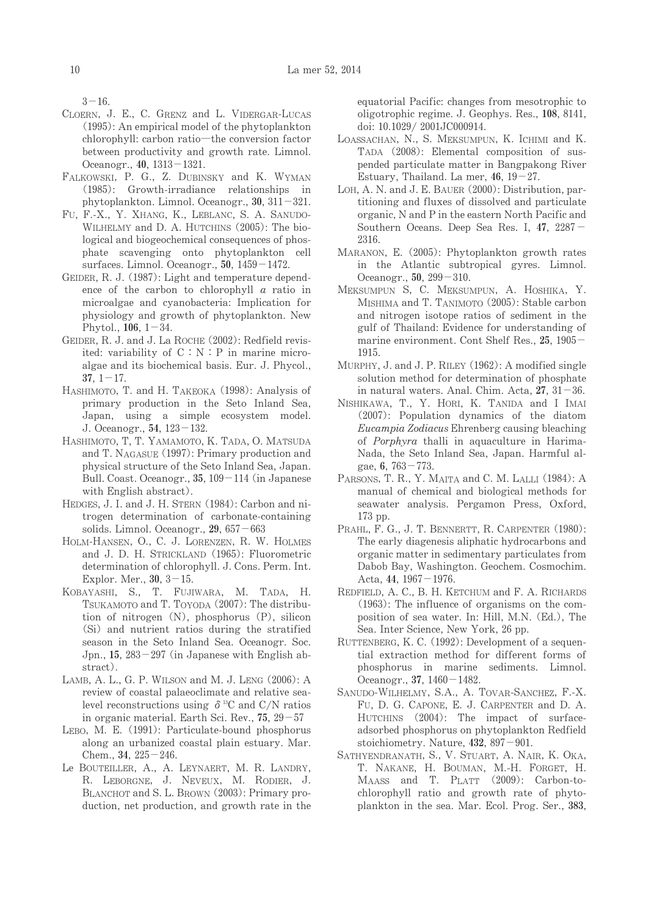$3 - 16$ 

- CLOERN, J. E., C. GRENZ and L. VIDERGAR-LUCAS  $(1995)$ : An empirical model of the phytoplankton chlorophyll: carbon ratio—the conversion factor between productivity and growth rate. Limnol. Oceanogr.,  $40, 1313 - 1321$ .
- FALKOWSKI, P. G., Z. DUBINSKY and K. WYMAN (1985): Growth-irradiance relationships in phytoplankton. Limnol. Oceanogr.,  $30, 311-321$ .
- FU, F.-X., Y. XHANG, K., LEBLANC, S. A. SANUDO-WILHELMY and D. A. HUTCHINS (2005): The biological and biogeochemical consequences of phosphate scavenging onto phytoplankton cell surfaces. Limnol. Oceanogr.,  $50$ ,  $1459 - 1472$ .
- GEIDER, R. J. (1987): Light and temperature dependence of the carbon to chlorophyll  $\alpha$  ratio in microalgae and cyanobacteria: Implication for physiology and growth of phytoplankton. New Phytol.,  $106$ ,  $1-34$ .
- GEIDER, R. J. and J. La ROCHE (2002): Redfield revisited: variability of  $C: N: P$  in marine microalgae and its biochemical basis. Eur. J. Phycol.,  $37.1 - 17.$
- HASHIMOTO, T. and H. TAKEOKA (1998): Analysis of primary production in the Seto Inland Sea. Japan, using a simple ecosystem model. J. Oceanogr., 54, 123-132.
- HASHIMOTO, T, T. YAMAMOTO, K. TADA, O. MATSUDA and T. NAGASUE (1997): Primary production and physical structure of the Seto Inland Sea, Japan. Bull. Coast. Oceanogr.,  $35$ ,  $109-114$  (in Japanese with English abstract).
- HEDGES, J. I. and J. H. STERN (1984): Carbon and nitrogen determination of carbonate-containing solids. Limnol. Oceanogr.,  $29,657-663$
- HOLM-HANSEN, O., C. J. LORENZEN, R. W. HOLMES and J. D. H. STRICKLAND (1965): Fluorometric determination of chlorophyll. J. Cons. Perm. Int. Explor. Mer.,  $30, 3-15$ .
- KOBAYASHI, S., T. FUJIWARA, M. TADA, H. TSUKAMOTO and T. TOYODA (2007): The distribution of nitrogen  $(N)$ , phosphorus  $(P)$ , silicon (Si) and nutrient ratios during the stratified season in the Seto Inland Sea. Oceanogr. Soc. Jpn., 15,  $283-297$  (in Japanese with English abstract).
- LAMB, A. L., G. P. WILSON and M. J. LENG (2006): A review of coastal palaeoclimate and relative sealevel reconstructions using  $\delta^{13}$ C and C/N ratios in organic material. Earth Sci. Rev.,  $75, 29-57$
- LEBO, M. E. (1991): Particulate-bound phosphorus along an urbanized coastal plain estuary. Mar. Chem., 34,  $225 - 246$ .
- Le BOUTEILLER, A., A. LEYNAERT, M. R. LANDRY, R. LEBORGNE, J. NEVEUX, M. RODIER, J. BLANCHOT and S. L. BROWN (2003): Primary production, net production, and growth rate in the

equatorial Pacific: changes from mesotrophic to oligotrophic regime. J. Geophys. Res., 108, 8141, doi: 10.1029/2001JC000914.

- LOASSACHAN, N., S. MEKSUMPUN, K. ICHIMI and K. TADA (2008): Elemental composition of suspended particulate matter in Bangpakong River Estuary. Thailand. La mer.  $46.19-27$ .
- LOH, A. N. and J. E. BAUER (2000): Distribution, partitioning and fluxes of dissolved and particulate organic, N and P in the eastern North Pacific and Southern Oceans. Deep Sea Res. I, 47, 2287-2316.
- MARANON, E. (2005): Phytoplankton growth rates in the Atlantic subtropical gyres. Limnol. Oceanogr.,  $50, 299 - 310$ .
- MEKSUMPUN S. C. MEKSUMPUN, A. HOSHIKA, Y. MISHIMA and T. TANIMOTO (2005): Stable carbon and nitrogen isotope ratios of sediment in the gulf of Thailand: Evidence for understanding of marine environment. Cont Shelf Res., 25, 1905-1915.
- MURPHY, J. and J. P. RILEY (1962): A modified single solution method for determination of phosphate in natural waters. Anal. Chim. Acta,  $27$ ,  $31-36$ .
- NISHIKAWA, T., Y. HORI, K. TANIDA and I IMAI (2007): Population dynamics of the diatom Eucampia Zodiacus Ehrenberg causing bleaching of Porphyra thalli in aquaculture in Harima-Nada, the Seto Inland Sea, Japan. Harmful algae,  $6, 763 - 773$ .
- PARSONS, T. R., Y. MAITA and C. M. LALLI (1984): A manual of chemical and biological methods for seawater analysis. Pergamon Press, Oxford, 173 pp.
- PRAHL, F. G., J. T. BENNERTT, R. CARPENTER (1980): The early diagenesis aliphatic hydrocarbons and organic matter in sedimentary particulates from Dabob Bay, Washington. Geochem. Cosmochim. Acta, 44,  $1967 - 1976$ .
- REDFIELD, A. C., B. H. KETCHUM and F. A. RICHARDS  $(1963)$ : The influence of organisms on the composition of sea water. In: Hill, M.N. (Ed.), The Sea. Inter Science, New York, 26 pp.
- RUTTENBERG, K. C. (1992): Development of a sequential extraction method for different forms of phosphorus in marine sediments. Limnol. Oceanogr., 37, 1460-1482.
- SANUDO-WILHELMY, S.A., A. TOVAR-SANCHEZ, F.-X. FU, D. G. CAPONE, E. J. CARPENTER and D. A. HUTCHINS (2004): The impact of surfaceadsorbed phosphorus on phytoplankton Redfield stoichiometry. Nature,  $432, 897 - 901$ .
- SATHYENDRANATH, S., V. STUART, A. NAIR, K. OKA, T. NAKANE, H. BOUMAN, M.-H. FORGET, H. MAASS and T. PLATT (2009): Carbon-tochlorophyll ratio and growth rate of phytoplankton in the sea. Mar. Ecol. Prog. Ser., 383,